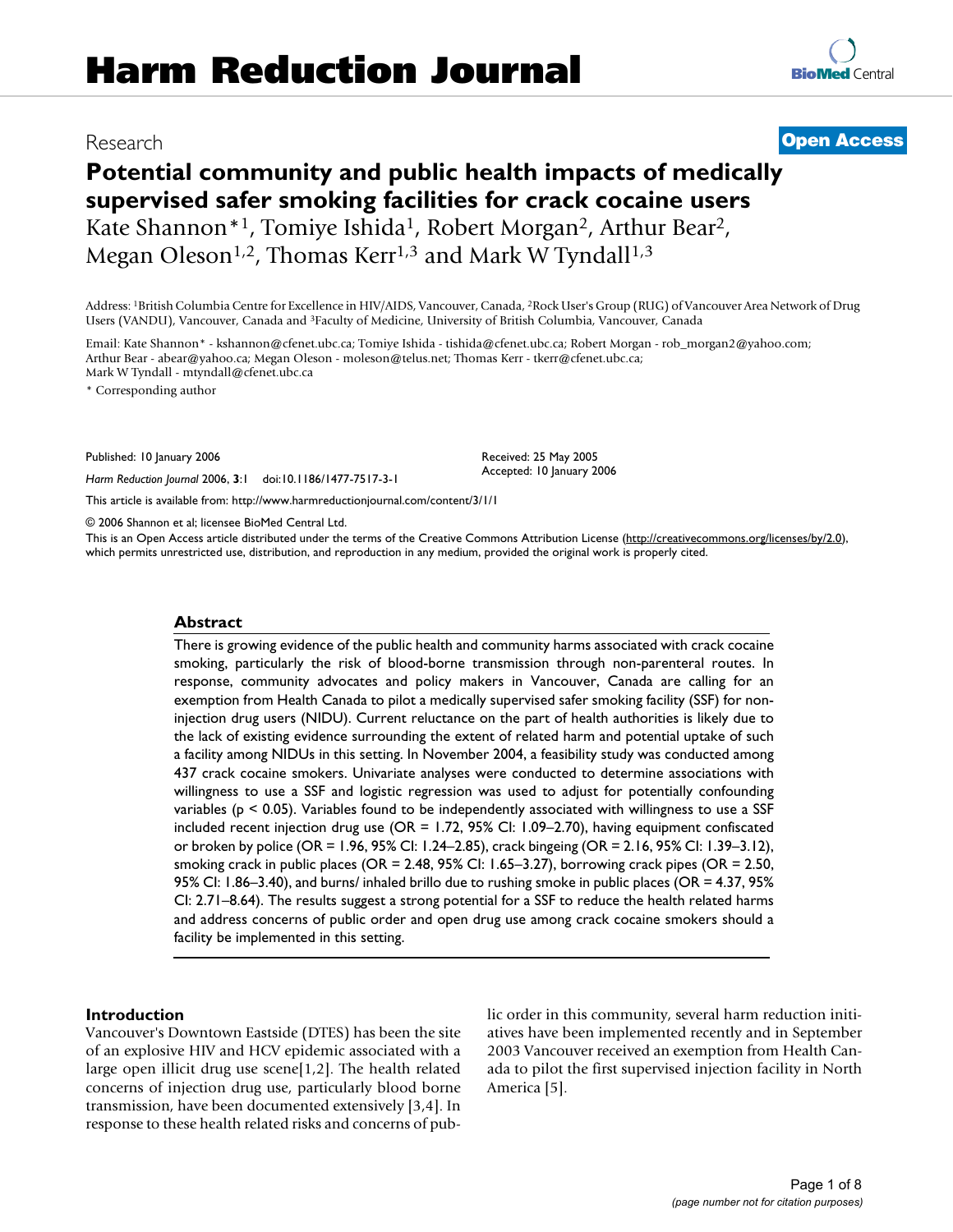# **Potential community and public health impacts of medically supervised safer smoking facilities for crack cocaine users** Kate Shannon\*<sup>1</sup>, Tomiye Ishida<sup>1</sup>, Robert Morgan<sup>2</sup>, Arthur Bear<sup>2</sup>, Megan Oleson<sup>1,2</sup>, Thomas Kerr<sup>1,3</sup> and Mark W Tyndall<sup>1,3</sup>

Address: 1British Columbia Centre for Excellence in HIV/AIDS, Vancouver, Canada, 2Rock User's Group (RUG) of Vancouver Area Network of Drug Users (VANDU), Vancouver, Canada and 3Faculty of Medicine, University of British Columbia, Vancouver, Canada

Email: Kate Shannon\* - kshannon@cfenet.ubc.ca; Tomiye Ishida - tishida@cfenet.ubc.ca; Robert Morgan - rob\_morgan2@yahoo.com; Arthur Bear - abear@yahoo.ca; Megan Oleson - moleson@telus.net; Thomas Kerr - tkerr@cfenet.ubc.ca; Mark W Tyndall - mtyndall@cfenet.ubc.ca

\* Corresponding author

Published: 10 January 2006

*Harm Reduction Journal* 2006, **3**:1 doi:10.1186/1477-7517-3-1

Received: 25 May 2005 Accepted: 10 January 2006

[This article is available from: http://www.harmreductionjournal.com/content/3/1/1](http://www.harmreductionjournal.com/content/3/1/1)

© 2006 Shannon et al; licensee BioMed Central Ltd.

This is an Open Access article distributed under the terms of the Creative Commons Attribution License [\(http://creativecommons.org/licenses/by/2.0\)](http://creativecommons.org/licenses/by/2.0), which permits unrestricted use, distribution, and reproduction in any medium, provided the original work is properly cited.

#### **Abstract**

There is growing evidence of the public health and community harms associated with crack cocaine smoking, particularly the risk of blood-borne transmission through non-parenteral routes. In response, community advocates and policy makers in Vancouver, Canada are calling for an exemption from Health Canada to pilot a medically supervised safer smoking facility (SSF) for noninjection drug users (NIDU). Current reluctance on the part of health authorities is likely due to the lack of existing evidence surrounding the extent of related harm and potential uptake of such a facility among NIDUs in this setting. In November 2004, a feasibility study was conducted among 437 crack cocaine smokers. Univariate analyses were conducted to determine associations with willingness to use a SSF and logistic regression was used to adjust for potentially confounding variables (p < 0.05). Variables found to be independently associated with willingness to use a SSF included recent injection drug use (OR = 1.72, 95% CI: 1.09–2.70), having equipment confiscated or broken by police (OR = 1.96, 95% CI: 1.24–2.85), crack bingeing (OR = 2.16, 95% CI: 1.39–3.12), smoking crack in public places (OR = 2.48, 95% CI: 1.65–3.27), borrowing crack pipes (OR = 2.50, 95% CI: 1.86–3.40), and burns/ inhaled brillo due to rushing smoke in public places (OR = 4.37, 95% CI: 2.71–8.64). The results suggest a strong potential for a SSF to reduce the health related harms and address concerns of public order and open drug use among crack cocaine smokers should a facility be implemented in this setting.

#### **Introduction**

Vancouver's Downtown Eastside (DTES) has been the site of an explosive HIV and HCV epidemic associated with a large open illicit drug use scene[1,2]. The health related concerns of injection drug use, particularly blood borne transmission, have been documented extensively [3,4]. In response to these health related risks and concerns of public order in this community, several harm reduction initiatives have been implemented recently and in September 2003 Vancouver received an exemption from Health Canada to pilot the first supervised injection facility in North America [5].

# Research **[Open Access](http://www.biomedcentral.com/info/about/charter/)**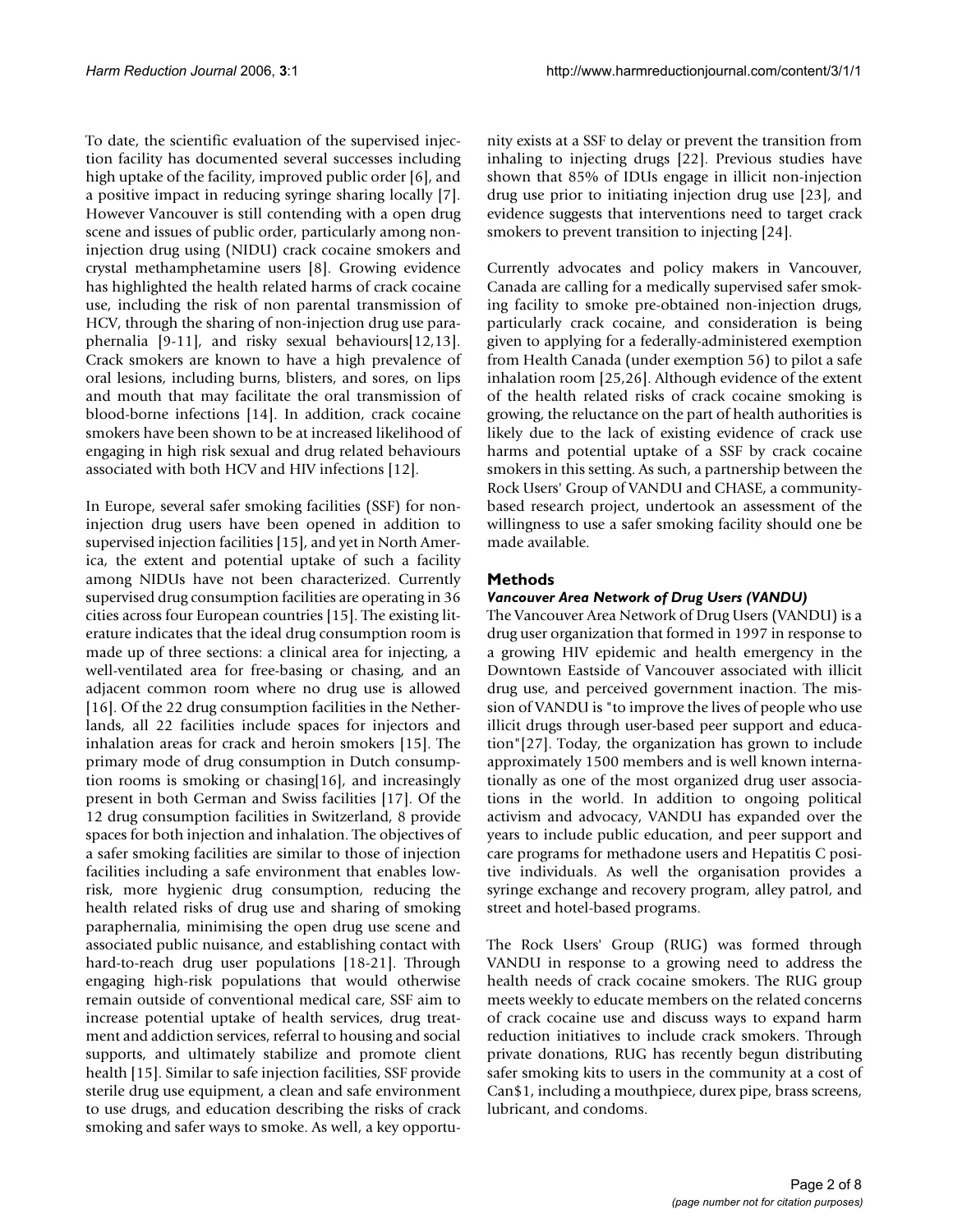To date, the scientific evaluation of the supervised injection facility has documented several successes including high uptake of the facility, improved public order [6], and a positive impact in reducing syringe sharing locally [7]. However Vancouver is still contending with a open drug scene and issues of public order, particularly among noninjection drug using (NIDU) crack cocaine smokers and crystal methamphetamine users [8]. Growing evidence has highlighted the health related harms of crack cocaine use, including the risk of non parental transmission of HCV, through the sharing of non-injection drug use paraphernalia [9-11], and risky sexual behaviours[12,13]. Crack smokers are known to have a high prevalence of oral lesions, including burns, blisters, and sores, on lips and mouth that may facilitate the oral transmission of blood-borne infections [14]. In addition, crack cocaine smokers have been shown to be at increased likelihood of engaging in high risk sexual and drug related behaviours associated with both HCV and HIV infections [12].

In Europe, several safer smoking facilities (SSF) for noninjection drug users have been opened in addition to supervised injection facilities [15], and yet in North America, the extent and potential uptake of such a facility among NIDUs have not been characterized. Currently supervised drug consumption facilities are operating in 36 cities across four European countries [15]. The existing literature indicates that the ideal drug consumption room is made up of three sections: a clinical area for injecting, a well-ventilated area for free-basing or chasing, and an adjacent common room where no drug use is allowed [16]. Of the 22 drug consumption facilities in the Netherlands, all 22 facilities include spaces for injectors and inhalation areas for crack and heroin smokers [15]. The primary mode of drug consumption in Dutch consumption rooms is smoking or chasing[16], and increasingly present in both German and Swiss facilities [17]. Of the 12 drug consumption facilities in Switzerland, 8 provide spaces for both injection and inhalation. The objectives of a safer smoking facilities are similar to those of injection facilities including a safe environment that enables lowrisk, more hygienic drug consumption, reducing the health related risks of drug use and sharing of smoking paraphernalia, minimising the open drug use scene and associated public nuisance, and establishing contact with hard-to-reach drug user populations [18-21]. Through engaging high-risk populations that would otherwise remain outside of conventional medical care, SSF aim to increase potential uptake of health services, drug treatment and addiction services, referral to housing and social supports, and ultimately stabilize and promote client health [15]. Similar to safe injection facilities, SSF provide sterile drug use equipment, a clean and safe environment to use drugs, and education describing the risks of crack smoking and safer ways to smoke. As well, a key opportunity exists at a SSF to delay or prevent the transition from inhaling to injecting drugs [22]. Previous studies have shown that 85% of IDUs engage in illicit non-injection drug use prior to initiating injection drug use [23], and evidence suggests that interventions need to target crack smokers to prevent transition to injecting [24].

Currently advocates and policy makers in Vancouver, Canada are calling for a medically supervised safer smoking facility to smoke pre-obtained non-injection drugs, particularly crack cocaine, and consideration is being given to applying for a federally-administered exemption from Health Canada (under exemption 56) to pilot a safe inhalation room [25,26]. Although evidence of the extent of the health related risks of crack cocaine smoking is growing, the reluctance on the part of health authorities is likely due to the lack of existing evidence of crack use harms and potential uptake of a SSF by crack cocaine smokers in this setting. As such, a partnership between the Rock Users' Group of VANDU and CHASE, a communitybased research project, undertook an assessment of the willingness to use a safer smoking facility should one be made available.

# **Methods**

### *Vancouver Area Network of Drug Users (VANDU)*

The Vancouver Area Network of Drug Users (VANDU) is a drug user organization that formed in 1997 in response to a growing HIV epidemic and health emergency in the Downtown Eastside of Vancouver associated with illicit drug use, and perceived government inaction. The mission of VANDU is "to improve the lives of people who use illicit drugs through user-based peer support and education"[27]. Today, the organization has grown to include approximately 1500 members and is well known internationally as one of the most organized drug user associations in the world. In addition to ongoing political activism and advocacy, VANDU has expanded over the years to include public education, and peer support and care programs for methadone users and Hepatitis C positive individuals. As well the organisation provides a syringe exchange and recovery program, alley patrol, and street and hotel-based programs.

The Rock Users' Group (RUG) was formed through VANDU in response to a growing need to address the health needs of crack cocaine smokers. The RUG group meets weekly to educate members on the related concerns of crack cocaine use and discuss ways to expand harm reduction initiatives to include crack smokers. Through private donations, RUG has recently begun distributing safer smoking kits to users in the community at a cost of Can\$1, including a mouthpiece, durex pipe, brass screens, lubricant, and condoms.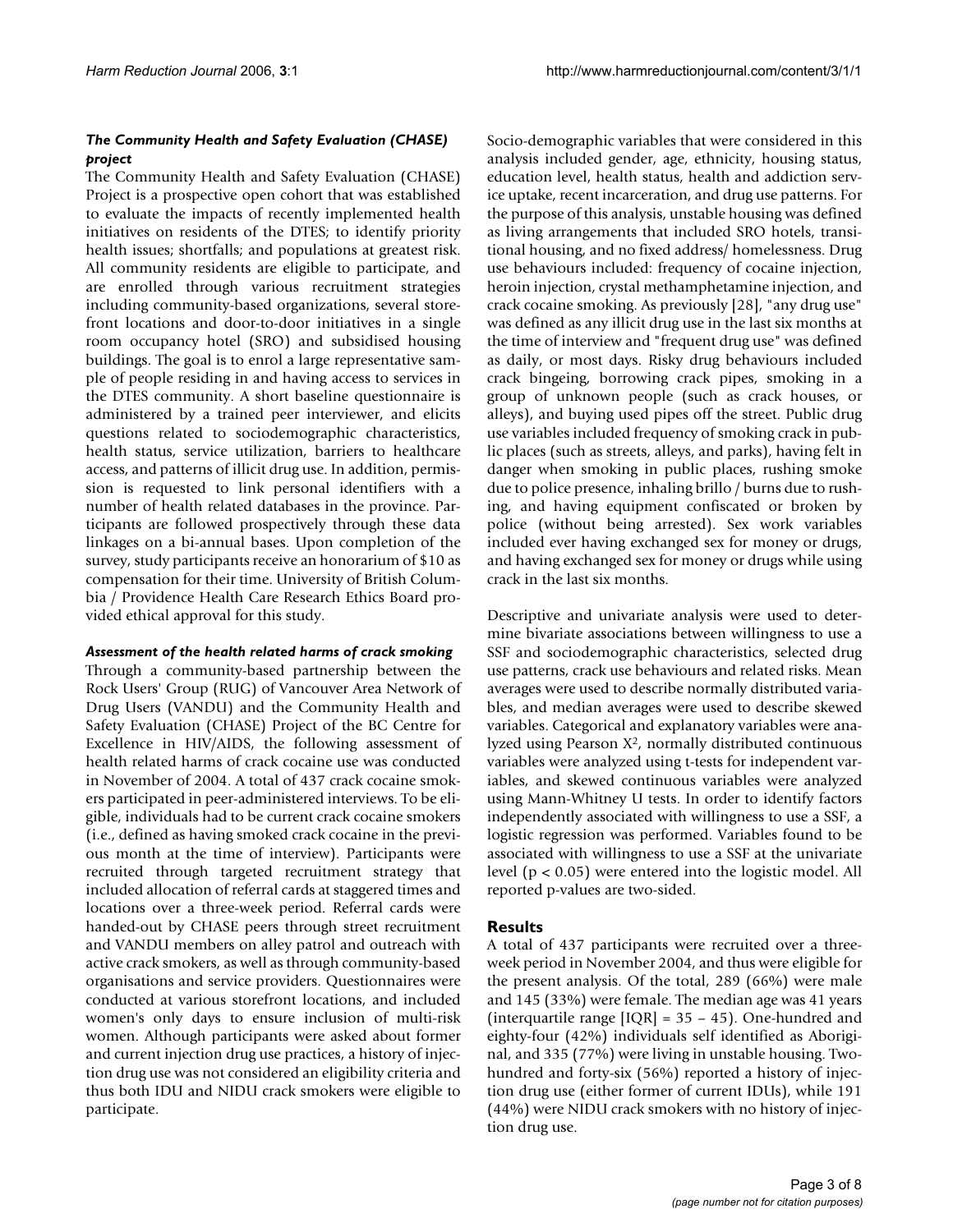# *The Community Health and Safety Evaluation (CHASE) project*

The Community Health and Safety Evaluation (CHASE) Project is a prospective open cohort that was established to evaluate the impacts of recently implemented health initiatives on residents of the DTES; to identify priority health issues; shortfalls; and populations at greatest risk. All community residents are eligible to participate, and are enrolled through various recruitment strategies including community-based organizations, several storefront locations and door-to-door initiatives in a single room occupancy hotel (SRO) and subsidised housing buildings. The goal is to enrol a large representative sample of people residing in and having access to services in the DTES community. A short baseline questionnaire is administered by a trained peer interviewer, and elicits questions related to sociodemographic characteristics, health status, service utilization, barriers to healthcare access, and patterns of illicit drug use. In addition, permission is requested to link personal identifiers with a number of health related databases in the province. Participants are followed prospectively through these data linkages on a bi-annual bases. Upon completion of the survey, study participants receive an honorarium of \$10 as compensation for their time. University of British Columbia / Providence Health Care Research Ethics Board provided ethical approval for this study.

#### *Assessment of the health related harms of crack smoking*

Through a community-based partnership between the Rock Users' Group (RUG) of Vancouver Area Network of Drug Users (VANDU) and the Community Health and Safety Evaluation (CHASE) Project of the BC Centre for Excellence in HIV/AIDS, the following assessment of health related harms of crack cocaine use was conducted in November of 2004. A total of 437 crack cocaine smokers participated in peer-administered interviews. To be eligible, individuals had to be current crack cocaine smokers (i.e., defined as having smoked crack cocaine in the previous month at the time of interview). Participants were recruited through targeted recruitment strategy that included allocation of referral cards at staggered times and locations over a three-week period. Referral cards were handed-out by CHASE peers through street recruitment and VANDU members on alley patrol and outreach with active crack smokers, as well as through community-based organisations and service providers. Questionnaires were conducted at various storefront locations, and included women's only days to ensure inclusion of multi-risk women. Although participants were asked about former and current injection drug use practices, a history of injection drug use was not considered an eligibility criteria and thus both IDU and NIDU crack smokers were eligible to participate.

Socio-demographic variables that were considered in this analysis included gender, age, ethnicity, housing status, education level, health status, health and addiction service uptake, recent incarceration, and drug use patterns. For the purpose of this analysis, unstable housing was defined as living arrangements that included SRO hotels, transitional housing, and no fixed address/ homelessness. Drug use behaviours included: frequency of cocaine injection, heroin injection, crystal methamphetamine injection, and crack cocaine smoking. As previously [28], "any drug use" was defined as any illicit drug use in the last six months at the time of interview and "frequent drug use" was defined as daily, or most days. Risky drug behaviours included crack bingeing, borrowing crack pipes, smoking in a group of unknown people (such as crack houses, or alleys), and buying used pipes off the street. Public drug use variables included frequency of smoking crack in public places (such as streets, alleys, and parks), having felt in danger when smoking in public places, rushing smoke due to police presence, inhaling brillo / burns due to rushing, and having equipment confiscated or broken by police (without being arrested). Sex work variables included ever having exchanged sex for money or drugs, and having exchanged sex for money or drugs while using crack in the last six months.

Descriptive and univariate analysis were used to determine bivariate associations between willingness to use a SSF and sociodemographic characteristics, selected drug use patterns, crack use behaviours and related risks. Mean averages were used to describe normally distributed variables, and median averages were used to describe skewed variables. Categorical and explanatory variables were analyzed using Pearson X2, normally distributed continuous variables were analyzed using t-tests for independent variables, and skewed continuous variables were analyzed using Mann-Whitney U tests. In order to identify factors independently associated with willingness to use a SSF, a logistic regression was performed. Variables found to be associated with willingness to use a SSF at the univariate level (p < 0.05) were entered into the logistic model. All reported p-values are two-sided.

# **Results**

A total of 437 participants were recruited over a threeweek period in November 2004, and thus were eligible for the present analysis. Of the total, 289 (66%) were male and 145 (33%) were female. The median age was 41 years (interquartile range  $[IQR] = 35 - 45$ ). One-hundred and eighty-four (42%) individuals self identified as Aboriginal, and 335 (77%) were living in unstable housing. Twohundred and forty-six (56%) reported a history of injection drug use (either former of current IDUs), while 191 (44%) were NIDU crack smokers with no history of injection drug use.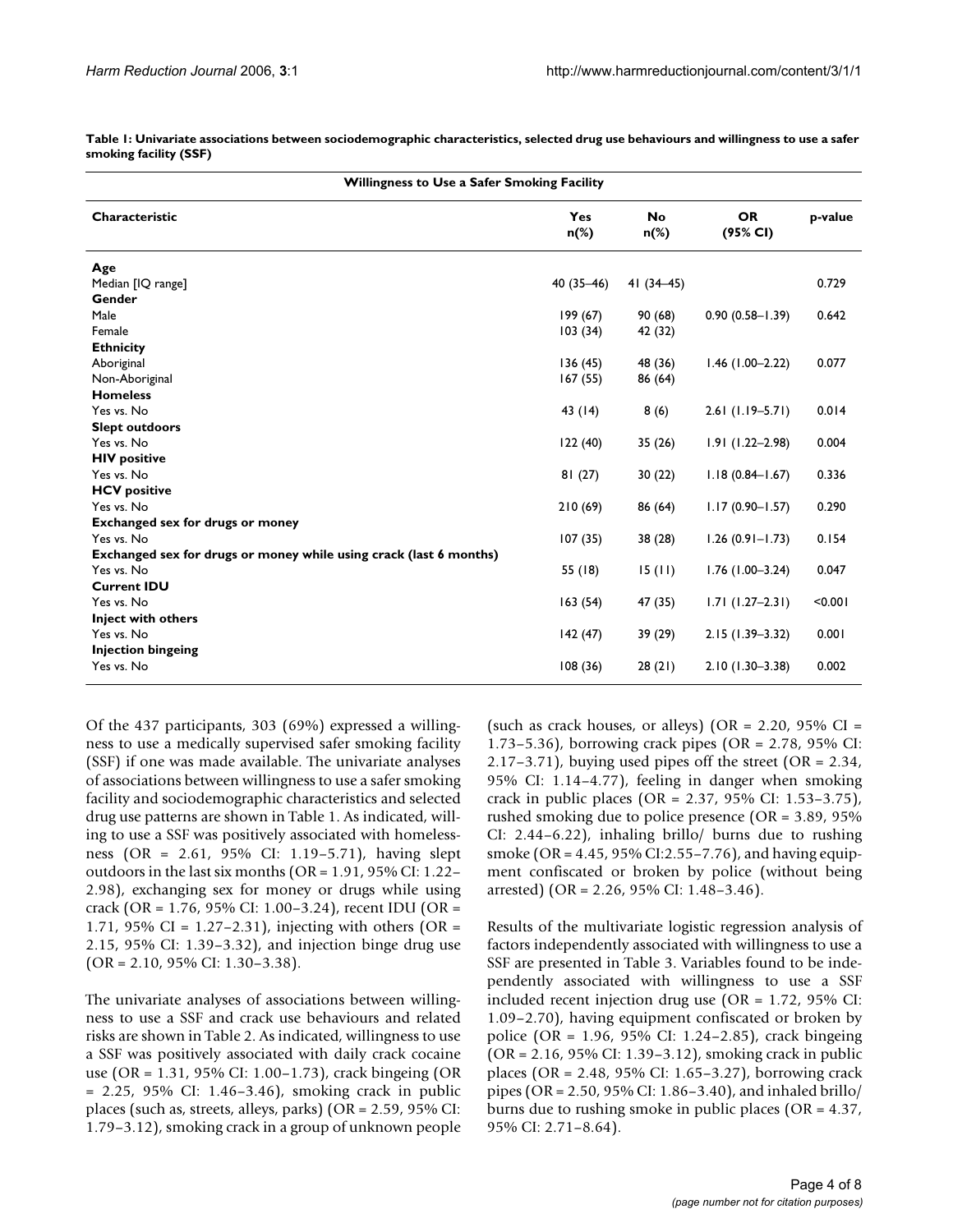| <b>Willingness to Use a Safer Smoking Facility</b>                 |                |               |                       |         |  |
|--------------------------------------------------------------------|----------------|---------------|-----------------------|---------|--|
| Characteristic                                                     | Yes<br>$n$ (%) | No<br>$n(\%)$ | <b>OR</b><br>(95% CI) | p-value |  |
| Age                                                                |                |               |                       |         |  |
| Median [IQ range]                                                  | $40(35-46)$    | 41 $(34-45)$  |                       | 0.729   |  |
| Gender                                                             |                |               |                       |         |  |
| Male                                                               | 199(67)        | 90(68)        | $0.90(0.58 - 1.39)$   | 0.642   |  |
| Female                                                             | 103(34)        | 42 (32)       |                       |         |  |
| <b>Ethnicity</b>                                                   |                |               |                       |         |  |
| Aboriginal                                                         | 136(45)        | 48 (36)       | $1.46$ (1.00-2.22)    | 0.077   |  |
| Non-Aboriginal                                                     | 167(55)        | 86 (64)       |                       |         |  |
| <b>Homeless</b>                                                    |                |               |                       |         |  |
| Yes vs. No                                                         | 43 (14)        | 8(6)          | $2.61(1.19 - 5.71)$   | 0.014   |  |
| <b>Slept outdoors</b>                                              |                |               |                       |         |  |
| Yes vs. No                                                         | 122(40)        | 35(26)        | $1.91(1.22 - 2.98)$   | 0.004   |  |
| <b>HIV positive</b>                                                |                |               |                       |         |  |
| Yes vs. No                                                         | 81(27)         | 30(22)        | $1.18(0.84 - 1.67)$   | 0.336   |  |
| <b>HCV</b> positive                                                |                |               |                       |         |  |
| Yes vs. No                                                         | 210(69)        | 86 (64)       | $1.17(0.90 - 1.57)$   | 0.290   |  |
| Exchanged sex for drugs or money                                   |                |               |                       |         |  |
| Yes vs. No                                                         | 107(35)        | 38 (28)       | $1.26(0.91 - 1.73)$   | 0.154   |  |
| Exchanged sex for drugs or money while using crack (last 6 months) |                |               |                       |         |  |
| Yes vs. No                                                         | 55 (18)        | 15(11)        | $1.76(1.00 - 3.24)$   | 0.047   |  |
| <b>Current IDU</b>                                                 |                |               |                       |         |  |
| Yes vs. No                                                         | 163(54)        | 47 (35)       | $1.71(1.27 - 2.31)$   | < 0.001 |  |
| Inject with others                                                 |                |               |                       |         |  |
| Yes vs. No                                                         | 142(47)        | 39 (29)       | 2.15 (1.39-3.32)      | 0.001   |  |
| <b>Injection bingeing</b>                                          |                |               |                       |         |  |
| Yes vs. No                                                         | 108(36)        | 28(21)        | $2.10(1.30 - 3.38)$   | 0.002   |  |

**Table 1: Univariate associations between sociodemographic characteristics, selected drug use behaviours and willingness to use a safer smoking facility (SSF)**

Of the 437 participants, 303 (69%) expressed a willingness to use a medically supervised safer smoking facility (SSF) if one was made available. The univariate analyses of associations between willingness to use a safer smoking facility and sociodemographic characteristics and selected drug use patterns are shown in Table 1. As indicated, willing to use a SSF was positively associated with homelessness (OR = 2.61, 95% CI: 1.19–5.71), having slept outdoors in the last six months (OR = 1.91, 95% CI: 1.22– 2.98), exchanging sex for money or drugs while using crack (OR = 1.76, 95% CI: 1.00–3.24), recent IDU (OR = 1.71, 95% CI =  $1.27-2.31$ ), injecting with others (OR = 2.15, 95% CI: 1.39–3.32), and injection binge drug use  $(OR = 2.10, 95\% \text{ CI: } 1.30-3.38).$ 

The univariate analyses of associations between willingness to use a SSF and crack use behaviours and related risks are shown in Table 2. As indicated, willingness to use a SSF was positively associated with daily crack cocaine use (OR = 1.31, 95% CI: 1.00–1.73), crack bingeing (OR = 2.25, 95% CI: 1.46–3.46), smoking crack in public places (such as, streets, alleys, parks) (OR = 2.59, 95% CI: 1.79–3.12), smoking crack in a group of unknown people (such as crack houses, or alleys) (OR =  $2.20$ ,  $95\%$  CI = 1.73–5.36), borrowing crack pipes (OR = 2.78, 95% CI: 2.17–3.71), buying used pipes off the street (OR =  $2.34$ , 95% CI: 1.14–4.77), feeling in danger when smoking crack in public places (OR = 2.37, 95% CI: 1.53–3.75), rushed smoking due to police presence (OR = 3.89, 95% CI: 2.44–6.22), inhaling brillo/ burns due to rushing smoke (OR = 4.45, 95% CI:2.55–7.76), and having equipment confiscated or broken by police (without being arrested) (OR = 2.26, 95% CI: 1.48–3.46).

Results of the multivariate logistic regression analysis of factors independently associated with willingness to use a SSF are presented in Table 3. Variables found to be independently associated with willingness to use a SSF included recent injection drug use (OR = 1.72, 95% CI: 1.09–2.70), having equipment confiscated or broken by police (OR = 1.96, 95% CI: 1.24–2.85), crack bingeing (OR = 2.16, 95% CI: 1.39–3.12), smoking crack in public places (OR = 2.48, 95% CI: 1.65–3.27), borrowing crack pipes (OR = 2.50, 95% CI: 1.86–3.40), and inhaled brillo/ burns due to rushing smoke in public places (OR = 4.37, 95% CI: 2.71–8.64).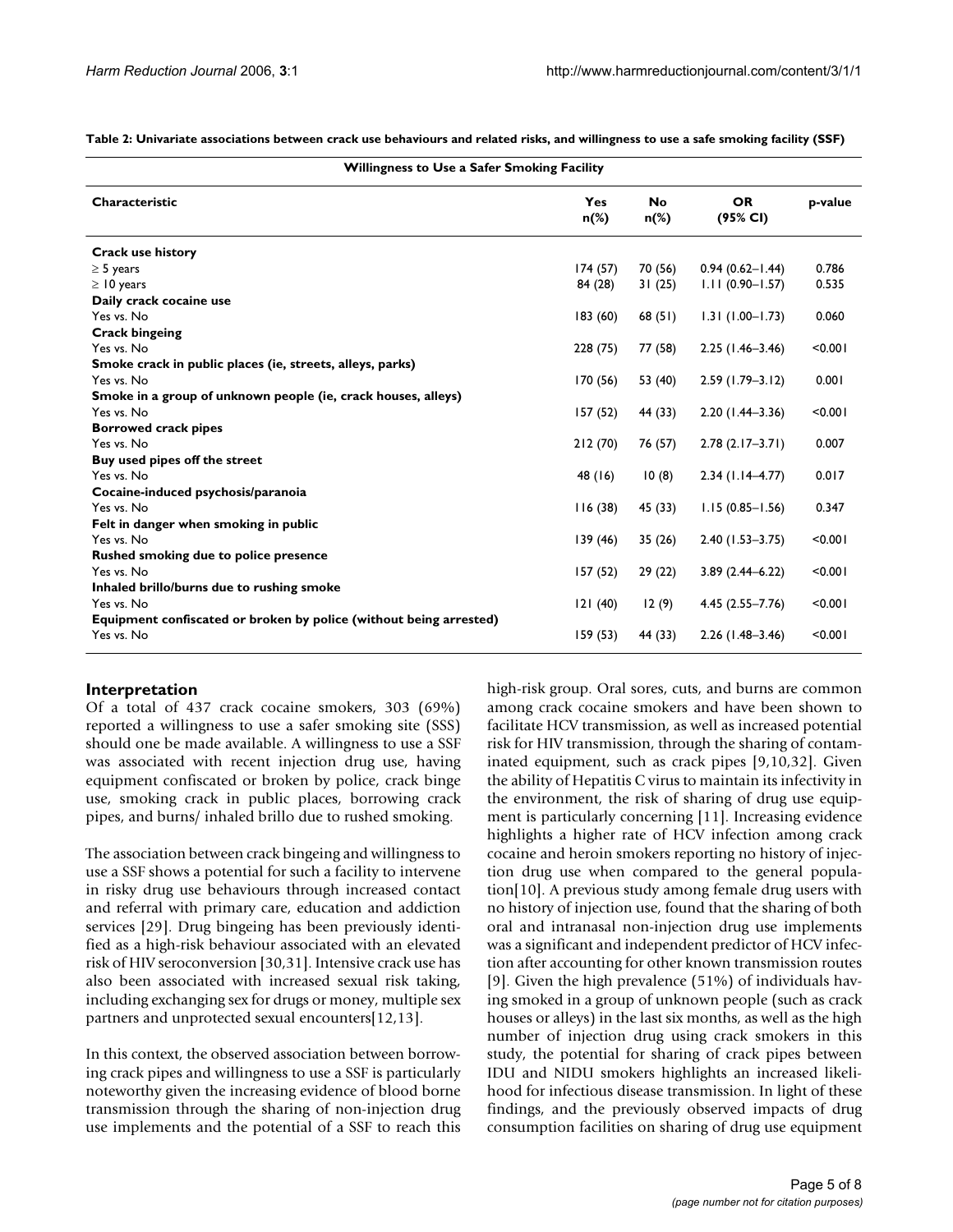| <b>Willingness to Use a Safer Smoking Facility</b>                 |                |                      |                       |         |  |  |
|--------------------------------------------------------------------|----------------|----------------------|-----------------------|---------|--|--|
| Characteristic                                                     | Yes<br>$n(\%)$ | <b>No</b><br>$n(\%)$ | <b>OR</b><br>(95% CI) | p-value |  |  |
| <b>Crack use history</b>                                           |                |                      |                       |         |  |  |
| $\geq$ 5 years                                                     | 174(57)        | 70 (56)              | $0.94(0.62 - 1.44)$   | 0.786   |  |  |
| $\geq$ 10 years                                                    | 84 (28)        | 31(25)               | $1.11(0.90 - 1.57)$   | 0.535   |  |  |
| Daily crack cocaine use                                            |                |                      |                       |         |  |  |
| Yes vs. No                                                         | 183(60)        | 68(51)               | $1.31(1.00 - 1.73)$   | 0.060   |  |  |
| <b>Crack bingeing</b>                                              |                |                      |                       |         |  |  |
| Yes vs. No                                                         | 228 (75)       | 77 (58)              | $2.25(1.46-3.46)$     | < 0.001 |  |  |
| Smoke crack in public places (ie, streets, alleys, parks)          |                |                      |                       |         |  |  |
| Yes vs. No                                                         | 170(56)        | 53 (40)              | $2.59$ (1.79-3.12)    | 0.001   |  |  |
| Smoke in a group of unknown people (ie, crack houses, alleys)      |                |                      |                       |         |  |  |
| Yes vs. No                                                         | 157(52)        | 44 (33)              | $2.20(1.44 - 3.36)$   | < 0.001 |  |  |
| <b>Borrowed crack pipes</b>                                        |                |                      |                       |         |  |  |
| Yes vs. No                                                         | 212(70)        | 76 (57)              | $2.78(2.17-3.71)$     | 0.007   |  |  |
| Buy used pipes off the street                                      |                |                      |                       |         |  |  |
| Yes vs. No                                                         | 48 (16)        | 10(8)                | $2.34$ (1.14-4.77)    | 0.017   |  |  |
| Cocaine-induced psychosis/paranoia                                 |                |                      |                       |         |  |  |
| Yes vs. No                                                         | 116(38)        | 45 (33)              | $1.15(0.85 - 1.56)$   | 0.347   |  |  |
| Felt in danger when smoking in public                              |                |                      |                       |         |  |  |
| Yes vs. No                                                         | 139(46)        | 35(26)               | $2.40(1.53 - 3.75)$   | < 0.001 |  |  |
| <b>Rushed smoking due to police presence</b>                       |                |                      |                       |         |  |  |
| Yes vs. No                                                         | 157(52)        | 29(22)               | $3.89(2.44 - 6.22)$   | < 0.001 |  |  |
| Inhaled brillo/burns due to rushing smoke                          |                |                      |                       |         |  |  |
| Yes vs. No                                                         | 121(40)        | 12(9)                | $4.45(2.55 - 7.76)$   | < 0.001 |  |  |
| Equipment confiscated or broken by police (without being arrested) |                |                      |                       |         |  |  |
| Yes vs. No                                                         | 159(53)        | 44 (33)              | $2.26$ (1.48-3.46)    | < 0.001 |  |  |

**Table 2: Univariate associations between crack use behaviours and related risks, and willingness to use a safe smoking facility (SSF)**

#### **Interpretation**

Of a total of 437 crack cocaine smokers, 303 (69%) reported a willingness to use a safer smoking site (SSS) should one be made available. A willingness to use a SSF was associated with recent injection drug use, having equipment confiscated or broken by police, crack binge use, smoking crack in public places, borrowing crack pipes, and burns/ inhaled brillo due to rushed smoking.

The association between crack bingeing and willingness to use a SSF shows a potential for such a facility to intervene in risky drug use behaviours through increased contact and referral with primary care, education and addiction services [29]. Drug bingeing has been previously identified as a high-risk behaviour associated with an elevated risk of HIV seroconversion [30,31]. Intensive crack use has also been associated with increased sexual risk taking, including exchanging sex for drugs or money, multiple sex partners and unprotected sexual encounters[12,13].

In this context, the observed association between borrowing crack pipes and willingness to use a SSF is particularly noteworthy given the increasing evidence of blood borne transmission through the sharing of non-injection drug use implements and the potential of a SSF to reach this high-risk group. Oral sores, cuts, and burns are common among crack cocaine smokers and have been shown to facilitate HCV transmission, as well as increased potential risk for HIV transmission, through the sharing of contaminated equipment, such as crack pipes [9,10,32]. Given the ability of Hepatitis C virus to maintain its infectivity in the environment, the risk of sharing of drug use equipment is particularly concerning [11]. Increasing evidence highlights a higher rate of HCV infection among crack cocaine and heroin smokers reporting no history of injection drug use when compared to the general population[10]. A previous study among female drug users with no history of injection use, found that the sharing of both oral and intranasal non-injection drug use implements was a significant and independent predictor of HCV infection after accounting for other known transmission routes [9]. Given the high prevalence (51%) of individuals having smoked in a group of unknown people (such as crack houses or alleys) in the last six months, as well as the high number of injection drug using crack smokers in this study, the potential for sharing of crack pipes between IDU and NIDU smokers highlights an increased likelihood for infectious disease transmission. In light of these findings, and the previously observed impacts of drug consumption facilities on sharing of drug use equipment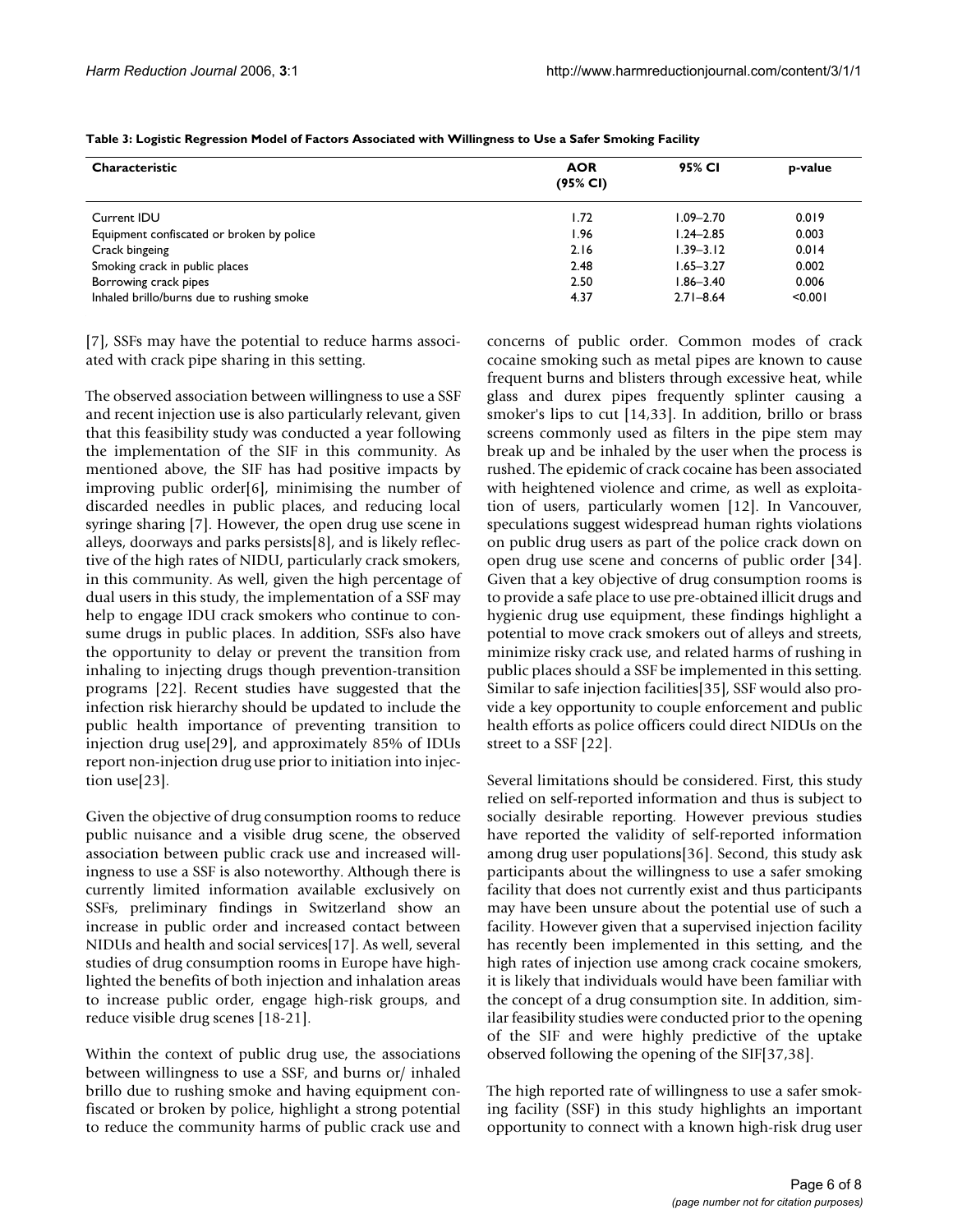| <b>Characteristic</b>                     | <b>AOR</b><br>(95% CI) | 95% CI        | p-value |
|-------------------------------------------|------------------------|---------------|---------|
| Current IDU                               | 1.72                   | $1.09 - 2.70$ | 0.019   |
| Equipment confiscated or broken by police | 1.96                   | $1.24 - 2.85$ | 0.003   |
| Crack bingeing                            | 2.16                   | $1.39 - 3.12$ | 0.014   |
| Smoking crack in public places            | 2.48                   | $1.65 - 3.27$ | 0.002   |
| Borrowing crack pipes                     | 2.50                   | $1.86 - 3.40$ | 0.006   |
| Inhaled brillo/burns due to rushing smoke | 4.37                   | $2.71 - 8.64$ | < 0.001 |

**Table 3: Logistic Regression Model of Factors Associated with Willingness to Use a Safer Smoking Facility**

[7], SSFs may have the potential to reduce harms associated with crack pipe sharing in this setting.

The observed association between willingness to use a SSF and recent injection use is also particularly relevant, given that this feasibility study was conducted a year following the implementation of the SIF in this community. As mentioned above, the SIF has had positive impacts by improving public order[6], minimising the number of discarded needles in public places, and reducing local syringe sharing [7]. However, the open drug use scene in alleys, doorways and parks persists[8], and is likely reflective of the high rates of NIDU, particularly crack smokers, in this community. As well, given the high percentage of dual users in this study, the implementation of a SSF may help to engage IDU crack smokers who continue to consume drugs in public places. In addition, SSFs also have the opportunity to delay or prevent the transition from inhaling to injecting drugs though prevention-transition programs [22]. Recent studies have suggested that the infection risk hierarchy should be updated to include the public health importance of preventing transition to injection drug use[29], and approximately 85% of IDUs report non-injection drug use prior to initiation into injection use[23].

Given the objective of drug consumption rooms to reduce public nuisance and a visible drug scene, the observed association between public crack use and increased willingness to use a SSF is also noteworthy. Although there is currently limited information available exclusively on SSFs, preliminary findings in Switzerland show an increase in public order and increased contact between NIDUs and health and social services[17]. As well, several studies of drug consumption rooms in Europe have highlighted the benefits of both injection and inhalation areas to increase public order, engage high-risk groups, and reduce visible drug scenes [18-21].

Within the context of public drug use, the associations between willingness to use a SSF, and burns or/ inhaled brillo due to rushing smoke and having equipment confiscated or broken by police, highlight a strong potential to reduce the community harms of public crack use and

concerns of public order. Common modes of crack cocaine smoking such as metal pipes are known to cause frequent burns and blisters through excessive heat, while glass and durex pipes frequently splinter causing a smoker's lips to cut [14,33]. In addition, brillo or brass screens commonly used as filters in the pipe stem may break up and be inhaled by the user when the process is rushed. The epidemic of crack cocaine has been associated with heightened violence and crime, as well as exploitation of users, particularly women [12]. In Vancouver, speculations suggest widespread human rights violations on public drug users as part of the police crack down on open drug use scene and concerns of public order [34]. Given that a key objective of drug consumption rooms is to provide a safe place to use pre-obtained illicit drugs and hygienic drug use equipment, these findings highlight a potential to move crack smokers out of alleys and streets, minimize risky crack use, and related harms of rushing in public places should a SSF be implemented in this setting. Similar to safe injection facilities[35], SSF would also provide a key opportunity to couple enforcement and public health efforts as police officers could direct NIDUs on the street to a SSF [22].

Several limitations should be considered. First, this study relied on self-reported information and thus is subject to socially desirable reporting. However previous studies have reported the validity of self-reported information among drug user populations[36]. Second, this study ask participants about the willingness to use a safer smoking facility that does not currently exist and thus participants may have been unsure about the potential use of such a facility. However given that a supervised injection facility has recently been implemented in this setting, and the high rates of injection use among crack cocaine smokers, it is likely that individuals would have been familiar with the concept of a drug consumption site. In addition, similar feasibility studies were conducted prior to the opening of the SIF and were highly predictive of the uptake observed following the opening of the SIF[37,38].

The high reported rate of willingness to use a safer smoking facility (SSF) in this study highlights an important opportunity to connect with a known high-risk drug user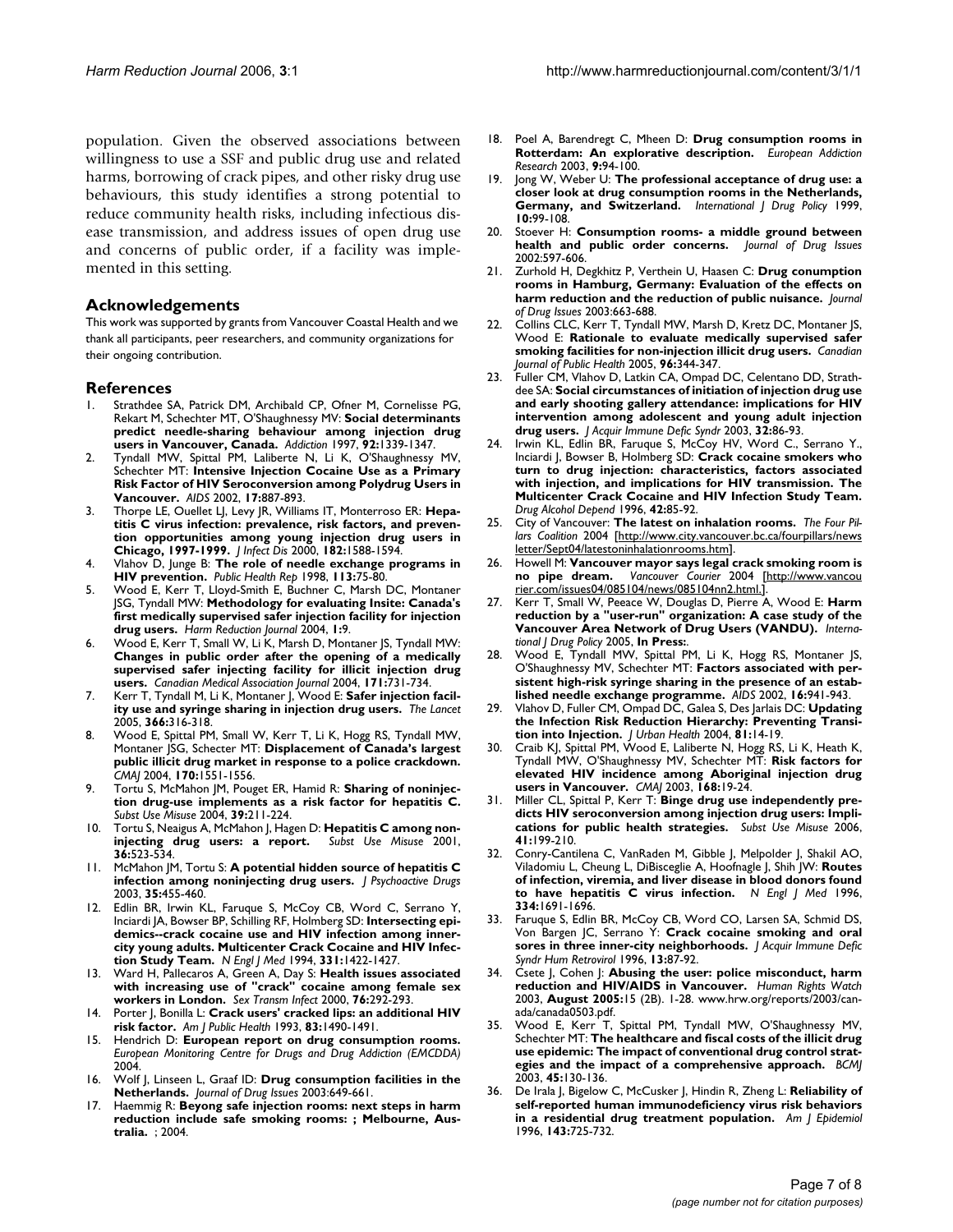population. Given the observed associations between willingness to use a SSF and public drug use and related harms, borrowing of crack pipes, and other risky drug use behaviours, this study identifies a strong potential to reduce community health risks, including infectious disease transmission, and address issues of open drug use and concerns of public order, if a facility was implemented in this setting.

#### **Acknowledgements**

This work was supported by grants from Vancouver Coastal Health and we thank all participants, peer researchers, and community organizations for their ongoing contribution.

#### **References**

- Strathdee SA, Patrick DM, Archibald CP, Ofner M, Cornelisse PG, Rekart M, Schechter MT, O'Shaughnessy MV: **[Social determinants](http://www.ncbi.nlm.nih.gov/entrez/query.fcgi?cmd=Retrieve&db=PubMed&dopt=Abstract&list_uids=9489050) [predict needle-sharing behaviour among injection drug](http://www.ncbi.nlm.nih.gov/entrez/query.fcgi?cmd=Retrieve&db=PubMed&dopt=Abstract&list_uids=9489050) [users in Vancouver, Canada.](http://www.ncbi.nlm.nih.gov/entrez/query.fcgi?cmd=Retrieve&db=PubMed&dopt=Abstract&list_uids=9489050)** *Addiction* 1997, **92:**1339-1347.
- 2. Tyndall MW, Spittal PM, Laliberte N, Li K, O'Shaughnessy MV, Schechter MT: **Intensive Injection Cocaine Use as a Primary Risk Factor of HIV Seroconversion among Polydrug Users in Vancouver.** *AIDS* 2002, **17:**887-893.
- 3. Thorpe LE, Ouellet LJ, Levy JR, Williams IT, Monterroso ER: **[Hepa](http://www.ncbi.nlm.nih.gov/entrez/query.fcgi?cmd=Retrieve&db=PubMed&dopt=Abstract&list_uids=11069228)titis C virus infection: prevalence, risk factors, and preven[tion opportunities among young injection drug users in](http://www.ncbi.nlm.nih.gov/entrez/query.fcgi?cmd=Retrieve&db=PubMed&dopt=Abstract&list_uids=11069228) [Chicago, 1997-1999.](http://www.ncbi.nlm.nih.gov/entrez/query.fcgi?cmd=Retrieve&db=PubMed&dopt=Abstract&list_uids=11069228)** *J Infect Dis* 2000, **182:**1588-1594.
- 4. Vlahov D, Junge B: **[The role of needle exchange programs in](http://www.ncbi.nlm.nih.gov/entrez/query.fcgi?cmd=Retrieve&db=PubMed&dopt=Abstract&list_uids=9722812) [HIV prevention.](http://www.ncbi.nlm.nih.gov/entrez/query.fcgi?cmd=Retrieve&db=PubMed&dopt=Abstract&list_uids=9722812)** *Public Health Rep* 1998, **113:**75-80.
- 5. Wood E, Kerr T, Lloyd-Smith E, Buchner C, Marsh DC, Montaner JSG, Tyndall MW: **[Methodology for evaluating Insite: Canada's](http://www.ncbi.nlm.nih.gov/entrez/query.fcgi?cmd=Retrieve&db=PubMed&dopt=Abstract&list_uids=15535885) [first medically supervised safer injection facility for injection](http://www.ncbi.nlm.nih.gov/entrez/query.fcgi?cmd=Retrieve&db=PubMed&dopt=Abstract&list_uids=15535885) [drug users.](http://www.ncbi.nlm.nih.gov/entrez/query.fcgi?cmd=Retrieve&db=PubMed&dopt=Abstract&list_uids=15535885)** *Harm Reduction Journal* 2004, **1:**9.
- 6. Wood E, Kerr T, Small W, Li K, Marsh D, Montaner JS, Tyndall MW: **Changes in public order after the opening of a medically [supervised safer injecting facility for illicit injection drug](http://www.ncbi.nlm.nih.gov/entrez/query.fcgi?cmd=Retrieve&db=PubMed&dopt=Abstract&list_uids=15451834) [users.](http://www.ncbi.nlm.nih.gov/entrez/query.fcgi?cmd=Retrieve&db=PubMed&dopt=Abstract&list_uids=15451834)** *Canadian Medical Association Journal* 2004, **171:**731-734.
- 7. Kerr T, Tyndall M, Li K, Montaner J, Wood E: **Safer injection facility use and syringe sharing in injection drug users.** *The Lancet* 2005, **366:**316-318.
- 8. Wood E, Spittal PM, Small W, Kerr T, Li K, Hogg RS, Tyndall MW, Montaner JSG, Schecter MT: **[Displacement of Canada's largest](http://www.ncbi.nlm.nih.gov/entrez/query.fcgi?cmd=Retrieve&db=PubMed&dopt=Abstract&list_uids=15136548) [public illicit drug market in response to a police crackdown.](http://www.ncbi.nlm.nih.gov/entrez/query.fcgi?cmd=Retrieve&db=PubMed&dopt=Abstract&list_uids=15136548)** *CMAJ* 2004, **170:**1551-1556.
- 9. Tortu S, McMahon JM, Pouget ER, Hamid R: **[Sharing of noninjec](http://www.ncbi.nlm.nih.gov/entrez/query.fcgi?cmd=Retrieve&db=PubMed&dopt=Abstract&list_uids=15061559)[tion drug-use implements as a risk factor for hepatitis C.](http://www.ncbi.nlm.nih.gov/entrez/query.fcgi?cmd=Retrieve&db=PubMed&dopt=Abstract&list_uids=15061559)** *Subst Use Misuse* 2004, **39:**211-224.
- 10. Tortu S, Neaigus A, McMahon J, Hagen D: **Hepatitis C among non-**<br> **injecting drug users: a report.** Subst Use Misuse 2001, [injecting drug users: a report.](http://www.ncbi.nlm.nih.gov/entrez/query.fcgi?cmd=Retrieve&db=PubMed&dopt=Abstract&list_uids=11346280) **36:**523-534.
- 11. McMahon JM, Tortu S: **[A potential hidden source of hepatitis C](http://www.ncbi.nlm.nih.gov/entrez/query.fcgi?cmd=Retrieve&db=PubMed&dopt=Abstract&list_uids=14986874) [infection among noninjecting drug users.](http://www.ncbi.nlm.nih.gov/entrez/query.fcgi?cmd=Retrieve&db=PubMed&dopt=Abstract&list_uids=14986874)** *J Psychoactive Drugs* 2003, **35:**455-460.
- 12. Edlin BR, Irwin KL, Faruque S, McCoy CB, Word C, Serrano Y, Inciardi JA, Bowser BP, Schilling RF, Holmberg SD: **[Intersecting epi](http://www.ncbi.nlm.nih.gov/entrez/query.fcgi?cmd=Retrieve&db=PubMed&dopt=Abstract&list_uids=7969281)demics--crack cocaine use and HIV infection among inner[city young adults. Multicenter Crack Cocaine and HIV Infec](http://www.ncbi.nlm.nih.gov/entrez/query.fcgi?cmd=Retrieve&db=PubMed&dopt=Abstract&list_uids=7969281)[tion Study Team.](http://www.ncbi.nlm.nih.gov/entrez/query.fcgi?cmd=Retrieve&db=PubMed&dopt=Abstract&list_uids=7969281)** *N Engl J Med* 1994, **331:**1422-1427.
- 13. Ward H, Pallecaros A, Green A, Day S: **[Health issues associated](http://www.ncbi.nlm.nih.gov/entrez/query.fcgi?cmd=Retrieve&db=PubMed&dopt=Abstract&list_uids=11026886) [with increasing use of "crack" cocaine among female sex](http://www.ncbi.nlm.nih.gov/entrez/query.fcgi?cmd=Retrieve&db=PubMed&dopt=Abstract&list_uids=11026886) [workers in London.](http://www.ncbi.nlm.nih.gov/entrez/query.fcgi?cmd=Retrieve&db=PubMed&dopt=Abstract&list_uids=11026886)** *Sex Transm Infect* 2000, **76:**292-293.
- 14. Porter J, Bonilla L: **[Crack users' cracked lips: an additional HIV](http://www.ncbi.nlm.nih.gov/entrez/query.fcgi?cmd=Retrieve&db=PubMed&dopt=Abstract&list_uids=8214248) [risk factor.](http://www.ncbi.nlm.nih.gov/entrez/query.fcgi?cmd=Retrieve&db=PubMed&dopt=Abstract&list_uids=8214248)** *Am J Public Health* 1993, **83:**1490-1491.
- 15. Hendrich D: **European report on drug consumption rooms.** *European Monitoring Centre for Drugs and Drug Addiction (EMCDDA)* 2004.
- 16. Wolf J, Linseen L, Graaf ID: **Drug consumption facilities in the Netherlands.** *Journal of Drug Issues* 2003:649-661.
- 17. Haemmig R: **Beyong safe injection rooms: next steps in harm reduction include safe smoking rooms: ; Melbourne, Australia.** ; 2004.
- 18. Poel A, Barendregt C, Mheen D: **[Drug consumption rooms in](http://www.ncbi.nlm.nih.gov/entrez/query.fcgi?cmd=Retrieve&db=PubMed&dopt=Abstract&list_uids=12644736) [Rotterdam: An explorative description.](http://www.ncbi.nlm.nih.gov/entrez/query.fcgi?cmd=Retrieve&db=PubMed&dopt=Abstract&list_uids=12644736)** *European Addiction Research* 2003, **9:**94-100.
- 19. Jong W, Weber U: **The professional acceptance of drug use: a closer look at drug consumption rooms in the Netherlands, Germany, and Switzerland.** *International J Drug Policy* 1999, **10:**99-108.
- 20. Stoever H: **Consumption rooms- a middle ground between health and public order concerns.** *Journal of Drug Issues* 2002:597-606.
- 21. Zurhold H, Degkhitz P, Verthein U, Haasen C: **Drug conumption rooms in Hamburg, Germany: Evaluation of the effects on harm reduction and the reduction of public nuisance.** *Journal of Drug Issues* 2003:663-688.
- 22. Collins CLC, Kerr T, Tyndall MW, Marsh D, Kretz DC, Montaner JS, Wood E: **Rationale to evaluate medically supervised safer smoking facilities for non-injection illicit drug users.** *Canadian Journal of Public Health* 2005, **96:**344-347.
- 23. Fuller CM, Vlahov D, Latkin CA, Ompad DC, Celentano DD, Strathdee SA: **[Social circumstances of initiation of injection drug use](http://www.ncbi.nlm.nih.gov/entrez/query.fcgi?cmd=Retrieve&db=PubMed&dopt=Abstract&list_uids=12514419) and early shooting gallery attendance: implications for HIV [intervention among adolescent and young adult injection](http://www.ncbi.nlm.nih.gov/entrez/query.fcgi?cmd=Retrieve&db=PubMed&dopt=Abstract&list_uids=12514419) [drug users.](http://www.ncbi.nlm.nih.gov/entrez/query.fcgi?cmd=Retrieve&db=PubMed&dopt=Abstract&list_uids=12514419)** *J Acquir Immune Defic Syndr* 2003, **32:**86-93.
- 24. Irwin KL, Edlin BR, Faruque S, McCoy HV, Word C., Serrano Y., Inciardi J, Bowser B, Holmberg SD: **[Crack cocaine smokers who](http://www.ncbi.nlm.nih.gov/entrez/query.fcgi?cmd=Retrieve&db=PubMed&dopt=Abstract&list_uids=8889407) turn to drug injection: characteristics, factors associated with injection, and implications for HIV transmission. The [Multicenter Crack Cocaine and HIV Infection Study Team.](http://www.ncbi.nlm.nih.gov/entrez/query.fcgi?cmd=Retrieve&db=PubMed&dopt=Abstract&list_uids=8889407)** *Drug Alcohol Depend* 1996, **42:**85-92.
- 25. City of Vancouver: **The latest on inhalation rooms.** *The Four Pillars Coalition* 2004 [\[http://www.city.vancouver.bc.ca/fourpillars/news](http://www.city.vancouver.bc.ca/fourpillars/newsletter/Sept04/latestoninhalationrooms.htm) [letter/Sept04/latestoninhalationrooms.htm](http://www.city.vancouver.bc.ca/fourpillars/newsletter/Sept04/latestoninhalationrooms.htm)].
- 26. Howell M: **Vancouver mayor says legal crack smoking room is**<br>**no pipe dream.** Vancouver Courier 2004 [http://www.vancou **no pipe dream.** *Vancouver Courier* 2004 [[http://www.vancou](http://www.vancourier.com/issues04/085104/news/085104nn2.html.) [rier.com/issues04/085104/news/085104nn2.html.](http://www.vancourier.com/issues04/085104/news/085104nn2.html.)].
- 27. Kerr T, Small W, Peeace W, Douglas D, Pierre A, Wood E: **Harm reduction by a "user-run" organization: A case study of the Vancouver Area Network of Drug Users (VANDU).** *International J Drug Policy* 2005, **In Press:**.
- 28. Wood E, Tyndall MW, Spittal PM, Li K, Hogg RS, Montaner JS, O'Shaughnessy MV, Schechter MT: **[Factors associated with per](http://www.ncbi.nlm.nih.gov/entrez/query.fcgi?cmd=Retrieve&db=PubMed&dopt=Abstract&list_uids=11919503)[sistent high-risk syringe sharing in the presence of an estab](http://www.ncbi.nlm.nih.gov/entrez/query.fcgi?cmd=Retrieve&db=PubMed&dopt=Abstract&list_uids=11919503)[lished needle exchange programme.](http://www.ncbi.nlm.nih.gov/entrez/query.fcgi?cmd=Retrieve&db=PubMed&dopt=Abstract&list_uids=11919503)** *AIDS* 2002, **16:**941-943.
- 29. Vlahov D, Fuller CM, Ompad DC, Galea S, Des Jarlais DC: **[Updating](http://www.ncbi.nlm.nih.gov/entrez/query.fcgi?cmd=Retrieve&db=PubMed&dopt=Abstract&list_uids=15047779) [the Infection Risk Reduction Hierarchy: Preventing Transi](http://www.ncbi.nlm.nih.gov/entrez/query.fcgi?cmd=Retrieve&db=PubMed&dopt=Abstract&list_uids=15047779)[tion into Injection.](http://www.ncbi.nlm.nih.gov/entrez/query.fcgi?cmd=Retrieve&db=PubMed&dopt=Abstract&list_uids=15047779)** *J Urban Health* 2004, **81:**14-19.
- 30. Craib KJ, Spittal PM, Wood E, Laliberte N, Hogg RS, Li K, Heath K, Tyndall MW, O'Shaughnessy MV, Schechter MT: **[Risk factors for](http://www.ncbi.nlm.nih.gov/entrez/query.fcgi?cmd=Retrieve&db=PubMed&dopt=Abstract&list_uids=12515780) [elevated HIV incidence among Aboriginal injection drug](http://www.ncbi.nlm.nih.gov/entrez/query.fcgi?cmd=Retrieve&db=PubMed&dopt=Abstract&list_uids=12515780) [users in Vancouver.](http://www.ncbi.nlm.nih.gov/entrez/query.fcgi?cmd=Retrieve&db=PubMed&dopt=Abstract&list_uids=12515780)** *CMAJ* 2003, **168:**19-24.
- 31. Miller CL, Spittal P, Kerr T: **[Binge drug use independently pre](http://www.ncbi.nlm.nih.gov/entrez/query.fcgi?cmd=Retrieve&db=PubMed&dopt=Abstract&list_uids=16393742)[dicts HIV seroconversion among injection drug users: Impli](http://www.ncbi.nlm.nih.gov/entrez/query.fcgi?cmd=Retrieve&db=PubMed&dopt=Abstract&list_uids=16393742)[cations for public health strategies.](http://www.ncbi.nlm.nih.gov/entrez/query.fcgi?cmd=Retrieve&db=PubMed&dopt=Abstract&list_uids=16393742)** *Subst Use Misuse* 2006, **41:**199-210.
- Conry-Cantilena C, VanRaden M, Gibble J, Melpolder J, Shakil AO, Viladomiu L, Cheung L, DiBisceglie A, Hoofnagle J, Shih JW: **[Routes](http://www.ncbi.nlm.nih.gov/entrez/query.fcgi?cmd=Retrieve&db=PubMed&dopt=Abstract&list_uids=8637513) [of infection, viremia, and liver disease in blood donors found](http://www.ncbi.nlm.nih.gov/entrez/query.fcgi?cmd=Retrieve&db=PubMed&dopt=Abstract&list_uids=8637513) [to have hepatitis C virus infection.](http://www.ncbi.nlm.nih.gov/entrez/query.fcgi?cmd=Retrieve&db=PubMed&dopt=Abstract&list_uids=8637513)** *N Engl J Med* 1996, **334:**1691-1696.
- 33. Faruque S, Edlin BR, McCoy CB, Word CO, Larsen SA, Schmid DS, Von Bargen JC, Serrano Y: **[Crack cocaine smoking and oral](http://www.ncbi.nlm.nih.gov/entrez/query.fcgi?cmd=Retrieve&db=PubMed&dopt=Abstract&list_uids=8797690) [sores in three inner-city neighborhoods.](http://www.ncbi.nlm.nih.gov/entrez/query.fcgi?cmd=Retrieve&db=PubMed&dopt=Abstract&list_uids=8797690)** *J Acquir Immune Defic Syndr Hum Retrovirol* 1996, **13:**87-92.
- 34. Csete J, Cohen J: **Abusing the user: police misconduct, harm reduction and HIV/AIDS in Vancouver.** *Human Rights Watch* 2003, **August 2005:**15 (2B). 1-28. www.hrw.org/reports/2003/canada/canada0503.pdf.
- 35. Wood E, Kerr T, Spittal PM, Tyndall MW, O'Shaughnessy MV, Schechter MT: **The healthcare and fiscal costs of the illicit drug use epidemic: The impact of conventional drug control strategies and the impact of a comprehensive approach.** *BCMJ* 2003, **45:**130-136.
- 36. De Irala J, Bigelow C, McCusker J, Hindin R, Zheng L: **[Reliability of](http://www.ncbi.nlm.nih.gov/entrez/query.fcgi?cmd=Retrieve&db=PubMed&dopt=Abstract&list_uids=8651235) [self-reported human immunodeficiency virus risk behaviors](http://www.ncbi.nlm.nih.gov/entrez/query.fcgi?cmd=Retrieve&db=PubMed&dopt=Abstract&list_uids=8651235) [in a residential drug treatment population.](http://www.ncbi.nlm.nih.gov/entrez/query.fcgi?cmd=Retrieve&db=PubMed&dopt=Abstract&list_uids=8651235)** *Am J Epidemiol* 1996, **143:**725-732.